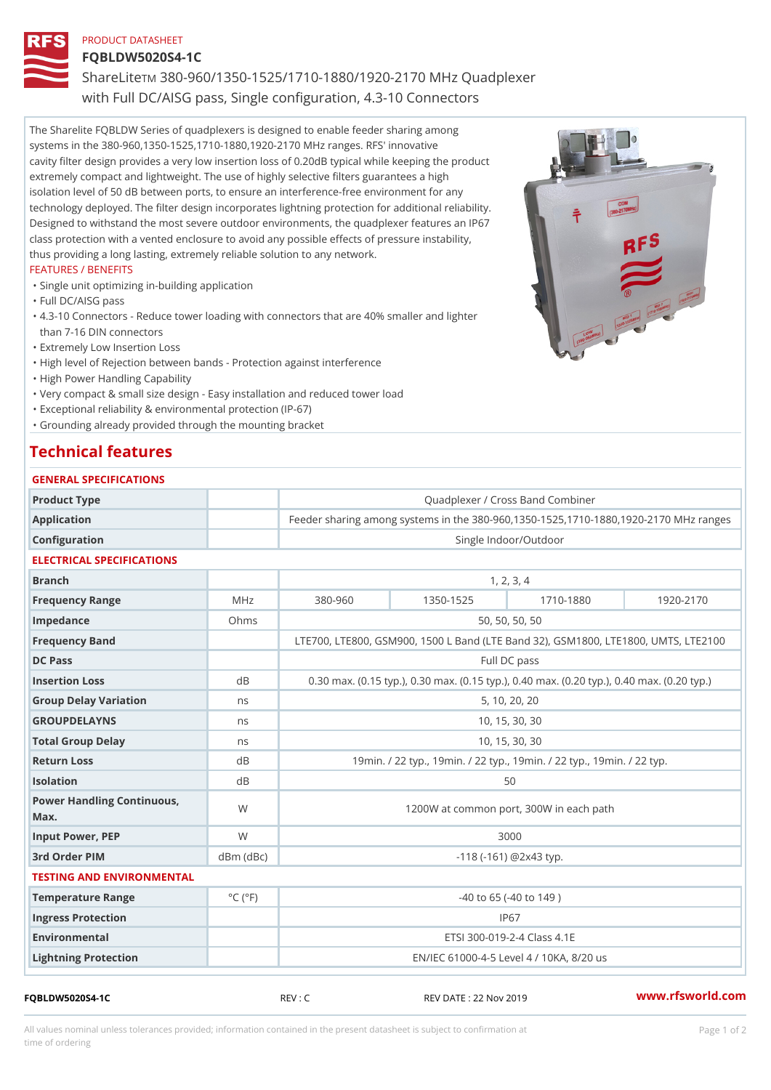## PRODUCT DATASHEET

## FQBLDW5020S4-1C

ShareLTM 880-960/1350-1525/1710-1880/1920-2170 MHz Quadplexer with Full DC/AISG pass, Single configuration, 4.3-10 Connectors

The Sharelite FQBLDW Series of quadplexers is designed to enable feeder sharing among systems in the 380-960,1350-1525,1710-1880,1920-2170 MHz ranges. RFS' innovative cavity filter design provides a very low insertion loss of 0.20dB typical while keeping the product extremely compact and lightweight. The use of highly selective filters guarantees a high isolation level of 50 dB between ports, to ensure an interference-free environment for any technology deployed. The filter design incorporates lightning protection for additional reliability. Designed to withstand the most severe outdoor environments, the quadplexer features an IP67 class protection with a vented enclosure to avoid any possible effects of pressure instability, thus providing a long lasting, extremely reliable solution to any network.

### FEATURES / BENEFITS

"Single unit optimizing in-building application

- "Full DC/AISG pass
- 4.3-10 Connectors Reduce tower loading with connectors that are 40% smaller and lighter " than 7-16 DIN connectors
- "Extremely Low Insertion Loss
- "High level of Rejection between bands Protection against interference
- "High Power Handling Capability
- "Very compact & small size design Easy installation and reduced tower load
- "Exceptional reliability & environmental protection (IP-67)
- "Grounding already provided through the mounting bracket

# Technical features

| GENERAL SPECIFICATIONS               |                             |                                                                 |           |                                          |           |  |
|--------------------------------------|-----------------------------|-----------------------------------------------------------------|-----------|------------------------------------------|-----------|--|
| Product Type                         |                             | Quadplexer / Cross Band Combiner                                |           |                                          |           |  |
| Application                          |                             | Feeder sharing among systems in the 380-960, 1350-1525, 1710-18 |           |                                          |           |  |
| Configuration                        |                             | Single Indoor/Outdoor                                           |           |                                          |           |  |
| ELECTRICAL SPECIFICATIONS            |                             |                                                                 |           |                                          |           |  |
| <b>Branch</b>                        |                             | 1, 2, 3, 4                                                      |           |                                          |           |  |
| Frequency Range                      | $M$ H z                     | $380 - 960$                                                     | 1350-1525 | 1710-1880                                | 1920-2170 |  |
| Impedance                            | Ohms                        | 50, 50, 50, 50                                                  |           |                                          |           |  |
| Frequency Band                       |                             | LTE700, LTE800, GSM900, 1500 L Band (LTE Band 32), GSM 800      |           |                                          |           |  |
| DC Pass                              |                             | Full DC pass                                                    |           |                                          |           |  |
| Insertion Loss                       | $d$ B                       | 0.30 max. (0.15 typ.), 0.30 max. (0.15 typ.), 0.40 max. (0.20 t |           |                                          |           |  |
| Group Delay Variation                | n s                         | 5, 10, 20, 20                                                   |           |                                          |           |  |
| GROUPDELAYNS                         | n s                         | 10, 15, 30, 30                                                  |           |                                          |           |  |
| Total Group Delay                    | n s                         | 10, 15, 30, 30                                                  |           |                                          |           |  |
| Return Loss                          | d B                         | 19min. / 22 typ., 19min. / 22 typ., 19min. / 22 typ., 19mi      |           |                                          |           |  |
| Isolation                            | d B                         | 50                                                              |           |                                          |           |  |
| Power Handling Continuous, W<br>Max. |                             | 1200W at common port, 300W in each path                         |           |                                          |           |  |
| Input Power, PEP                     | W                           | 3000                                                            |           |                                          |           |  |
| 3rd Order PIM                        |                             | $dBm$ $(dBc)$<br>$-118$ ( $-161$ ) @ 2 x 4 3 typ.               |           |                                          |           |  |
| TESTING AND ENVIRONMENTAL            |                             |                                                                 |           |                                          |           |  |
| Temperature Range                    | $^{\circ}$ C ( $^{\circ}$ F |                                                                 |           | $-40$ to 65 ( $-40$ to 149)              |           |  |
| Ingress Protection                   |                             |                                                                 |           | IP67                                     |           |  |
| Environmental                        |                             |                                                                 |           | ETSI 300-019-2-4 Class 4.1E              |           |  |
| Lightning Protection                 |                             |                                                                 |           | EN/IEC 61000-4-5 Level 4 / 10KA, 8/20 us |           |  |

FQBLDW5020S4-1C REV : C REV DATE : 22 Nov 2019 [www.](https://www.rfsworld.com)rfsworld.com

All values nominal unless tolerances provided; information contained in the present datasheet is subject to Pcapgeign manation time of ordering